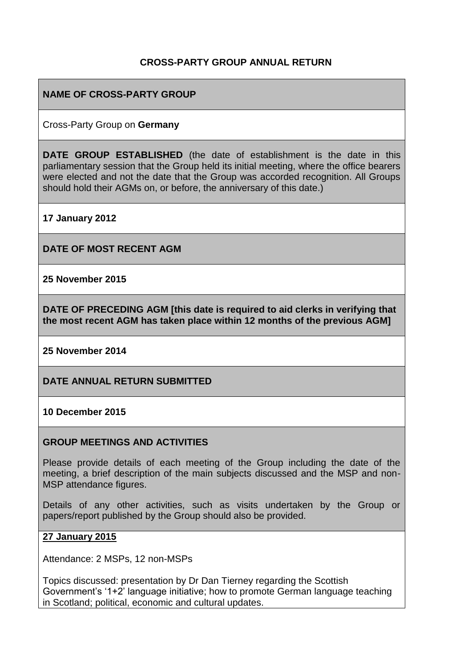#### **CROSS-PARTY GROUP ANNUAL RETURN**

#### **NAME OF CROSS-PARTY GROUP**

Cross-Party Group on **Germany**

**DATE GROUP ESTABLISHED** (the date of establishment is the date in this parliamentary session that the Group held its initial meeting, where the office bearers were elected and not the date that the Group was accorded recognition. All Groups should hold their AGMs on, or before, the anniversary of this date.)

**17 January 2012**

**DATE OF MOST RECENT AGM**

**25 November 2015**

**DATE OF PRECEDING AGM [this date is required to aid clerks in verifying that the most recent AGM has taken place within 12 months of the previous AGM]**

**25 November 2014**

**DATE ANNUAL RETURN SUBMITTED**

**10 December 2015**

#### **GROUP MEETINGS AND ACTIVITIES**

Please provide details of each meeting of the Group including the date of the meeting, a brief description of the main subjects discussed and the MSP and non-MSP attendance figures.

Details of any other activities, such as visits undertaken by the Group or papers/report published by the Group should also be provided.

#### **27 January 2015**

Attendance: 2 MSPs, 12 non-MSPs

Topics discussed: presentation by Dr Dan Tierney regarding the Scottish Government's '1+2' language initiative; how to promote German language teaching in Scotland; political, economic and cultural updates.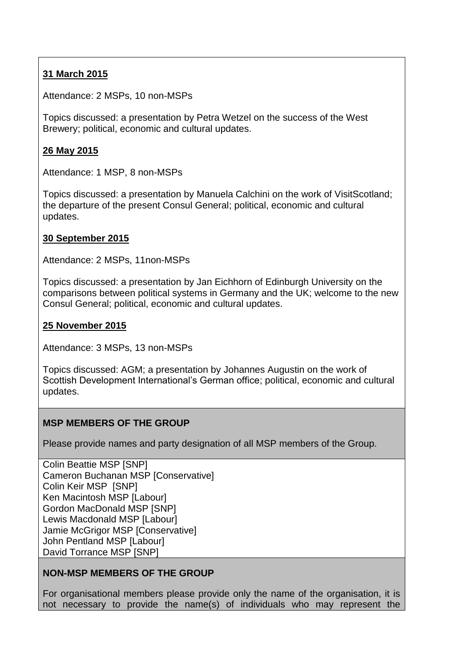# **31 March 2015**

Attendance: 2 MSPs, 10 non-MSPs

Topics discussed: a presentation by Petra Wetzel on the success of the West Brewery; political, economic and cultural updates.

## **26 May 2015**

Attendance: 1 MSP, 8 non-MSPs

Topics discussed: a presentation by Manuela Calchini on the work of VisitScotland; the departure of the present Consul General; political, economic and cultural updates.

### **30 September 2015**

Attendance: 2 MSPs, 11non-MSPs

Topics discussed: a presentation by Jan Eichhorn of Edinburgh University on the comparisons between political systems in Germany and the UK; welcome to the new Consul General; political, economic and cultural updates.

### **25 November 2015**

Attendance: 3 MSPs, 13 non-MSPs

Topics discussed: AGM; a presentation by Johannes Augustin on the work of Scottish Development International's German office; political, economic and cultural updates.

### **MSP MEMBERS OF THE GROUP**

Please provide names and party designation of all MSP members of the Group.

Colin Beattie MSP [SNP] Cameron Buchanan MSP [Conservative] Colin Keir MSP [SNP] Ken Macintosh MSP [Labour] Gordon MacDonald MSP [SNP] Lewis Macdonald MSP [Labour] Jamie McGrigor MSP [Conservative] John Pentland MSP [Labour] David Torrance MSP [SNP]

### **NON-MSP MEMBERS OF THE GROUP**

For organisational members please provide only the name of the organisation, it is not necessary to provide the name(s) of individuals who may represent the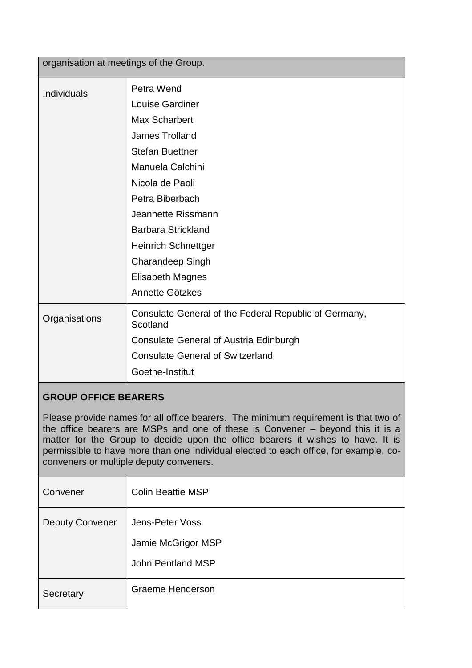| organisation at meetings of the Group. |                                                                   |  |
|----------------------------------------|-------------------------------------------------------------------|--|
| Individuals                            | Petra Wend                                                        |  |
|                                        | Louise Gardiner                                                   |  |
|                                        | <b>Max Scharbert</b>                                              |  |
|                                        | <b>James Trolland</b>                                             |  |
|                                        | <b>Stefan Buettner</b>                                            |  |
|                                        | Manuela Calchini                                                  |  |
|                                        | Nicola de Paoli                                                   |  |
|                                        | Petra Biberbach                                                   |  |
|                                        | Jeannette Rissmann                                                |  |
|                                        | <b>Barbara Strickland</b>                                         |  |
|                                        | <b>Heinrich Schnettger</b>                                        |  |
|                                        | <b>Charandeep Singh</b>                                           |  |
|                                        | <b>Elisabeth Magnes</b>                                           |  |
|                                        | Annette Götzkes                                                   |  |
| Organisations                          | Consulate General of the Federal Republic of Germany,<br>Scotland |  |
|                                        | <b>Consulate General of Austria Edinburgh</b>                     |  |
|                                        | <b>Consulate General of Switzerland</b>                           |  |
|                                        | Goethe-Institut                                                   |  |
|                                        |                                                                   |  |

# **GROUP OFFICE BEARERS**

Please provide names for all office bearers. The minimum requirement is that two of the office bearers are MSPs and one of these is Convener – beyond this it is a matter for the Group to decide upon the office bearers it wishes to have. It is permissible to have more than one individual elected to each office, for example, coconveners or multiple deputy conveners.

| Convener               | <b>Colin Beattie MSP</b>                                   |
|------------------------|------------------------------------------------------------|
| <b>Deputy Convener</b> | Jens-Peter Voss<br>Jamie McGrigor MSP<br>John Pentland MSP |
| Secretary              | <b>Graeme Henderson</b>                                    |